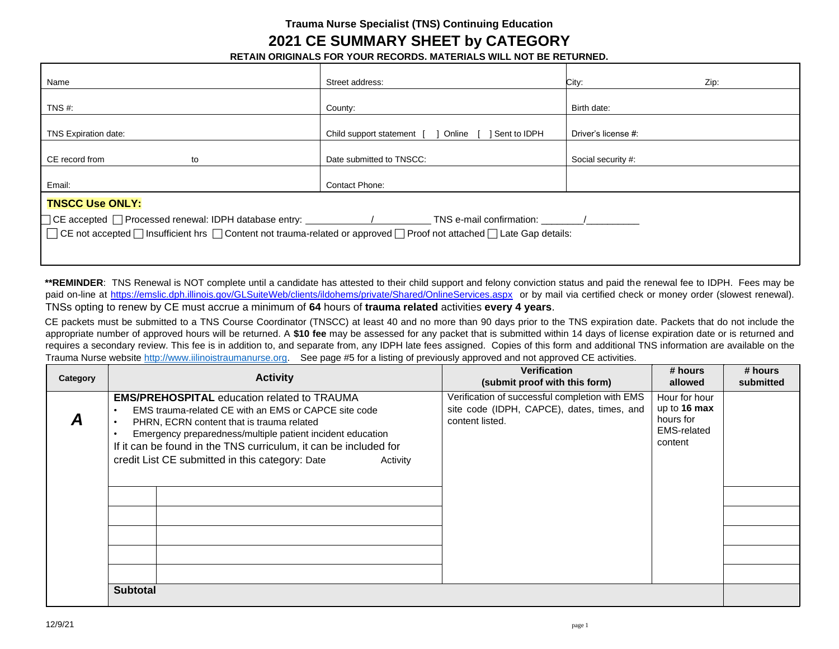## **Trauma Nurse Specialist (TNS) Continuing Education**

## **2021 CE SUMMARY SHEET by CATEGORY**

**RETAIN ORIGINALS FOR YOUR RECORDS. MATERIALS WILL NOT BE RETURNED.** 

| Name                                                                                                                   | Street address:                                         | City:<br>Zip:       |  |  |
|------------------------------------------------------------------------------------------------------------------------|---------------------------------------------------------|---------------------|--|--|
| TNS $#$ :                                                                                                              | County:                                                 | Birth date:         |  |  |
|                                                                                                                        |                                                         |                     |  |  |
| TNS Expiration date:                                                                                                   | Online [<br>Sent to IDPH<br>Child support statement [ ] | Driver's license #: |  |  |
| CE record from<br>to                                                                                                   | Date submitted to TNSCC:                                | Social security #:  |  |  |
|                                                                                                                        |                                                         |                     |  |  |
| Email:                                                                                                                 | Contact Phone:                                          |                     |  |  |
| <b>TNSCC Use ONLY:</b>                                                                                                 |                                                         |                     |  |  |
|                                                                                                                        |                                                         |                     |  |  |
| □ CE not accepted □ Insufficient hrs □ Content not trauma-related or approved □ Proof not attached □ Late Gap details: |                                                         |                     |  |  |
|                                                                                                                        |                                                         |                     |  |  |
|                                                                                                                        |                                                         |                     |  |  |

**\*\*REMINDER**: TNS Renewal is NOT complete until a candidate has attested to their child support and felony conviction status and paid the renewal fee to IDPH. Fees may be paid on-line [at https://emslic.dph.illinois.gov/GLSuiteWeb/clients/ildohems/private/Shared/OnlineServices.aspx](https://emslic.dph.illinois.gov/GLSuiteWeb/clients/ildohems/private/Shared/OnlineServices.aspx) or by mail via certified check or money order (slowest renewal). TNSs opting to renew by CE must accrue a minimum of **64** hours of **trauma related** activities **every 4 years**.

CE packets must be submitted to a TNS Course Coordinator (TNSCC) at least 40 and no more than 90 days prior to the TNS expiration date. Packets that do not include the appropriate number of approved hours will be returned. A **\$10 fee** may be assessed for any packet that is submitted within 14 days of license expiration date or is returned and requires a secondary review. This fee is in addition to, and separate from, any IDPH late fees assigned. Copies of this form and additional TNS information are available on the Trauma Nurse website [http://www.iilinoistraumanurse.org](http://www.iilinoistraumanurse.org/)[.](http://www.illinoistraumanurse.org/) See page #5 for a listing of previously approved and not approved CE activities.

| Category | <b>Activity</b>                                                                                                                                                                                                                                                                                                                                          | <b>Verification</b><br>(submit proof with this form)                                                            | # hours<br>allowed                                                            | # hours<br>submitted |
|----------|----------------------------------------------------------------------------------------------------------------------------------------------------------------------------------------------------------------------------------------------------------------------------------------------------------------------------------------------------------|-----------------------------------------------------------------------------------------------------------------|-------------------------------------------------------------------------------|----------------------|
|          | <b>EMS/PREHOSPITAL education related to TRAUMA</b><br>EMS trauma-related CE with an EMS or CAPCE site code<br>PHRN, ECRN content that is trauma related<br>Emergency preparedness/multiple patient incident education<br>If it can be found in the TNS curriculum, it can be included for<br>credit List CE submitted in this category: Date<br>Activity | Verification of successful completion with EMS<br>site code (IDPH, CAPCE), dates, times, and<br>content listed. | Hour for hour<br>up to $16$ max<br>hours for<br><b>EMS-related</b><br>content |                      |
|          | <b>Subtotal</b>                                                                                                                                                                                                                                                                                                                                          |                                                                                                                 |                                                                               |                      |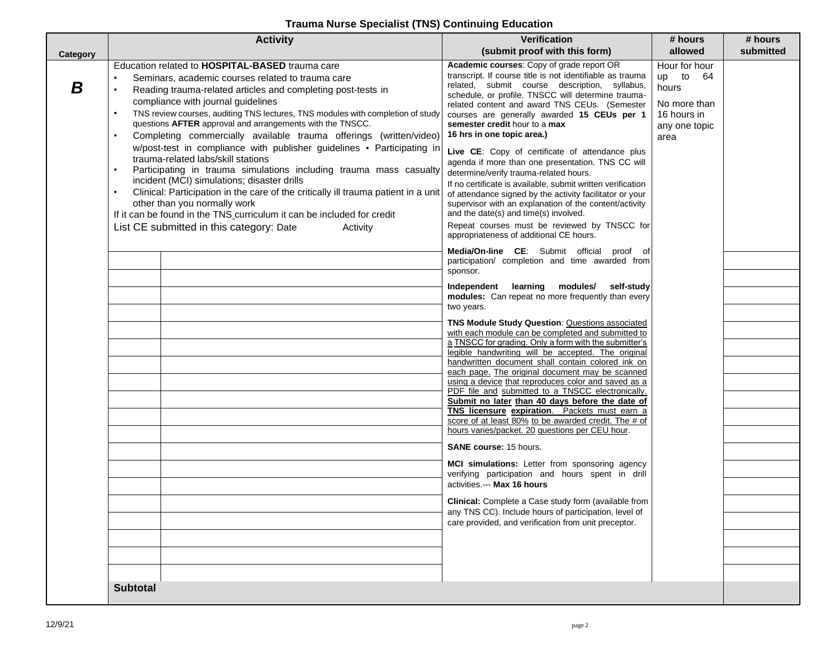## **Trauma Nurse Specialist (TNS) Continuing Education**

|          | <b>Activity</b>                                                                                                                                                                                                                                                                                                                                                                                                                                                                                                                                                                                                                                                                                                                                                                                                                                                                                                                                                                   | <b>Verification</b>                                                                                                                                                                                                                                                                                                                                                                                                                                                                                                                                                                                                                                                                                                                                                                                                                                                                                                                                                                                                                                                                                                                                                                                                                                                                                                                                                                                                                                                                                                                                                                                                                                                                                                                                                                                                                                                                                                                                                                                                                                                                                    | # hours                                                                                                   | # hours   |
|----------|-----------------------------------------------------------------------------------------------------------------------------------------------------------------------------------------------------------------------------------------------------------------------------------------------------------------------------------------------------------------------------------------------------------------------------------------------------------------------------------------------------------------------------------------------------------------------------------------------------------------------------------------------------------------------------------------------------------------------------------------------------------------------------------------------------------------------------------------------------------------------------------------------------------------------------------------------------------------------------------|--------------------------------------------------------------------------------------------------------------------------------------------------------------------------------------------------------------------------------------------------------------------------------------------------------------------------------------------------------------------------------------------------------------------------------------------------------------------------------------------------------------------------------------------------------------------------------------------------------------------------------------------------------------------------------------------------------------------------------------------------------------------------------------------------------------------------------------------------------------------------------------------------------------------------------------------------------------------------------------------------------------------------------------------------------------------------------------------------------------------------------------------------------------------------------------------------------------------------------------------------------------------------------------------------------------------------------------------------------------------------------------------------------------------------------------------------------------------------------------------------------------------------------------------------------------------------------------------------------------------------------------------------------------------------------------------------------------------------------------------------------------------------------------------------------------------------------------------------------------------------------------------------------------------------------------------------------------------------------------------------------------------------------------------------------------------------------------------------------|-----------------------------------------------------------------------------------------------------------|-----------|
| Category |                                                                                                                                                                                                                                                                                                                                                                                                                                                                                                                                                                                                                                                                                                                                                                                                                                                                                                                                                                                   | (submit proof with this form)                                                                                                                                                                                                                                                                                                                                                                                                                                                                                                                                                                                                                                                                                                                                                                                                                                                                                                                                                                                                                                                                                                                                                                                                                                                                                                                                                                                                                                                                                                                                                                                                                                                                                                                                                                                                                                                                                                                                                                                                                                                                          | allowed                                                                                                   | submitted |
| B        | Education related to HOSPITAL-BASED trauma care<br>Seminars, academic courses related to trauma care<br>$\bullet$<br>Reading trauma-related articles and completing post-tests in<br>compliance with journal guidelines<br>TNS review courses, auditing TNS lectures, TNS modules with completion of study<br>$\bullet$<br>questions AFTER approval and arrangements with the TNSCC.<br>Completing commercially available trauma offerings (written/video)<br>$\bullet$<br>w/post-test in compliance with publisher guidelines • Participating in<br>trauma-related labs/skill stations<br>Participating in trauma simulations including trauma mass casualty<br>incident (MCI) simulations; disaster drills<br>Clinical: Participation in the care of the critically ill trauma patient in a unit<br>$\bullet$<br>other than you normally work<br>If it can be found in the TNS curriculum it can be included for credit<br>List CE submitted in this category: Date<br>Activity | Academic courses: Copy of grade report OR<br>transcript. If course title is not identifiable as trauma<br>related, submit course description, syllabus,<br>schedule, or profile. TNSCC will determine trauma-<br>related content and award TNS CEUs. (Semester<br>courses are generally awarded 15 CEUs per 1<br>semester credit hour to a max<br>16 hrs in one topic area.)<br>Live CE: Copy of certificate of attendance plus<br>agenda if more than one presentation. TNS CC will<br>determine/verify trauma-related hours.<br>If no certificate is available, submit written verification<br>of attendance signed by the activity facilitator or your<br>supervisor with an explanation of the content/activity<br>and the date(s) and time(s) involved.<br>Repeat courses must be reviewed by TNSCC for<br>appropriateness of additional CE hours.<br>Media/On-line CE: Submit official proof of<br>participation/ completion and time awarded from<br>sponsor.<br>modules/<br>Independent<br>learning<br>self-study<br>modules: Can repeat no more frequently than every<br>two years.<br>TNS Module Study Question: Questions associated<br>with each module can be completed and submitted to<br>a TNSCC for grading. Only a form with the submitter's<br>legible handwriting will be accepted. The original<br>handwritten document shall contain colored ink on<br>each page. The original document may be scanned<br>using a device that reproduces color and saved as a<br>PDF file and submitted to a TNSCC electronically.<br>Submit no later than 40 days before the date of<br>TNS licensure expiration. Packets must earn a<br>score of at least 80% to be awarded credit. The # of<br>hours varies/packet. 20 questions per CEU hour.<br><b>SANE course: 15 hours.</b><br>MCI simulations: Letter from sponsoring agency<br>verifying participation and hours spent in drill<br>activities.--- Max 16 hours<br>Clinical: Complete a Case study form (available from<br>any TNS CC). Include hours of participation, level of<br>care provided, and verification from unit preceptor. | Hour for hour<br>to<br>- 64<br><b>up</b><br>hours<br>No more than<br>16 hours in<br>any one topic<br>area |           |
|          | <b>Subtotal</b>                                                                                                                                                                                                                                                                                                                                                                                                                                                                                                                                                                                                                                                                                                                                                                                                                                                                                                                                                                   |                                                                                                                                                                                                                                                                                                                                                                                                                                                                                                                                                                                                                                                                                                                                                                                                                                                                                                                                                                                                                                                                                                                                                                                                                                                                                                                                                                                                                                                                                                                                                                                                                                                                                                                                                                                                                                                                                                                                                                                                                                                                                                        |                                                                                                           |           |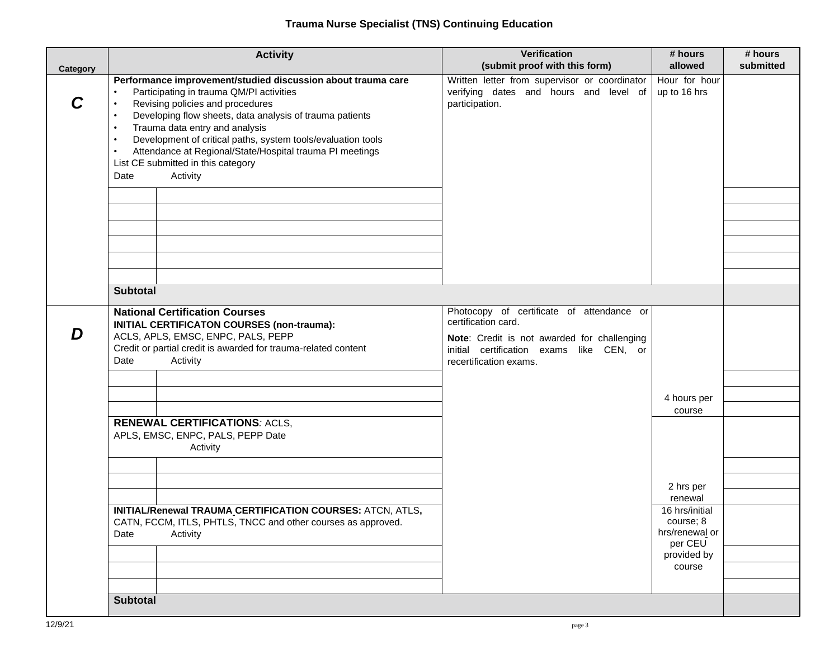| Category | <b>Activity</b>                                                                                                                                                                                                                                                                                                                                                                                                                                                                      | Verification<br>(submit proof with this form)                                                                                                                                         | # hours<br>allowed                                       | # hours<br>submitted |
|----------|--------------------------------------------------------------------------------------------------------------------------------------------------------------------------------------------------------------------------------------------------------------------------------------------------------------------------------------------------------------------------------------------------------------------------------------------------------------------------------------|---------------------------------------------------------------------------------------------------------------------------------------------------------------------------------------|----------------------------------------------------------|----------------------|
|          | Performance improvement/studied discussion about trauma care<br>Participating in trauma QM/PI activities<br>$\bullet$<br>Revising policies and procedures<br>Developing flow sheets, data analysis of trauma patients<br>$\bullet$<br>Trauma data entry and analysis<br>$\bullet$<br>Development of critical paths, system tools/evaluation tools<br>$\bullet$<br>Attendance at Regional/State/Hospital trauma PI meetings<br>List CE submitted in this category<br>Activity<br>Date | Written letter from supervisor or coordinator<br>verifying dates and hours and level of<br>participation.                                                                             | Hour for hour<br>up to 16 hrs                            |                      |
|          | <b>Subtotal</b>                                                                                                                                                                                                                                                                                                                                                                                                                                                                      |                                                                                                                                                                                       |                                                          |                      |
| נ ו      | <b>National Certification Courses</b><br>INITIAL CERTIFICATON COURSES (non-trauma):<br>ACLS, APLS, EMSC, ENPC, PALS, PEPP<br>Credit or partial credit is awarded for trauma-related content<br>Activity<br>Date                                                                                                                                                                                                                                                                      | Photocopy of certificate of attendance or<br>certification card.<br>Note: Credit is not awarded for challenging<br>initial certification exams like CEN, or<br>recertification exams. |                                                          |                      |
|          |                                                                                                                                                                                                                                                                                                                                                                                                                                                                                      |                                                                                                                                                                                       |                                                          |                      |
|          |                                                                                                                                                                                                                                                                                                                                                                                                                                                                                      |                                                                                                                                                                                       | 4 hours per<br>course                                    |                      |
|          | <b>RENEWAL CERTIFICATIONS: ACLS,</b><br>APLS, EMSC, ENPC, PALS, PEPP Date<br>Activity                                                                                                                                                                                                                                                                                                                                                                                                |                                                                                                                                                                                       |                                                          |                      |
|          |                                                                                                                                                                                                                                                                                                                                                                                                                                                                                      |                                                                                                                                                                                       |                                                          |                      |
|          |                                                                                                                                                                                                                                                                                                                                                                                                                                                                                      |                                                                                                                                                                                       | 2 hrs per<br>renewal                                     |                      |
|          | INITIAL/Renewal TRAUMA CERTIFICATION COURSES: ATCN, ATLS,<br>CATN, FCCM, ITLS, PHTLS, TNCC and other courses as approved.<br>Date<br>Activity                                                                                                                                                                                                                                                                                                                                        |                                                                                                                                                                                       | 16 hrs/initial<br>course; 8<br>hrs/renewal or<br>per CEU |                      |
|          |                                                                                                                                                                                                                                                                                                                                                                                                                                                                                      |                                                                                                                                                                                       | provided by<br>course                                    |                      |
|          |                                                                                                                                                                                                                                                                                                                                                                                                                                                                                      |                                                                                                                                                                                       |                                                          |                      |
|          | <b>Subtotal</b>                                                                                                                                                                                                                                                                                                                                                                                                                                                                      |                                                                                                                                                                                       |                                                          |                      |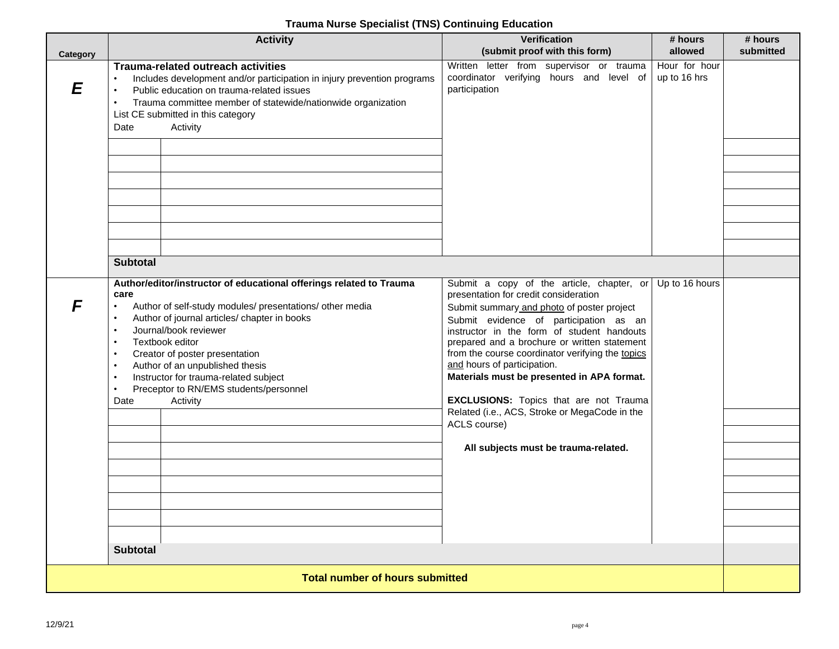## **Trauma Nurse Specialist (TNS) Continuing Education**

| Category                               | <b>Activity</b>                                                                                                                                                                                                                                                                                                                                                                                                                                                                                     | <b>Verification</b><br>(submit proof with this form)                                                                                                                                                                                                                                                                                                                                                                                                                                                                                                                | # hours<br>allowed            | # hours<br>submitted |
|----------------------------------------|-----------------------------------------------------------------------------------------------------------------------------------------------------------------------------------------------------------------------------------------------------------------------------------------------------------------------------------------------------------------------------------------------------------------------------------------------------------------------------------------------------|---------------------------------------------------------------------------------------------------------------------------------------------------------------------------------------------------------------------------------------------------------------------------------------------------------------------------------------------------------------------------------------------------------------------------------------------------------------------------------------------------------------------------------------------------------------------|-------------------------------|----------------------|
| E                                      | <b>Trauma-related outreach activities</b><br>Includes development and/or participation in injury prevention programs<br>Public education on trauma-related issues<br>Trauma committee member of statewide/nationwide organization<br>List CE submitted in this category<br>Activity<br>Date                                                                                                                                                                                                         | Written letter from supervisor or trauma<br>coordinator verifying hours and level of<br>participation                                                                                                                                                                                                                                                                                                                                                                                                                                                               | Hour for hour<br>up to 16 hrs |                      |
|                                        |                                                                                                                                                                                                                                                                                                                                                                                                                                                                                                     |                                                                                                                                                                                                                                                                                                                                                                                                                                                                                                                                                                     |                               |                      |
|                                        |                                                                                                                                                                                                                                                                                                                                                                                                                                                                                                     |                                                                                                                                                                                                                                                                                                                                                                                                                                                                                                                                                                     |                               |                      |
|                                        |                                                                                                                                                                                                                                                                                                                                                                                                                                                                                                     |                                                                                                                                                                                                                                                                                                                                                                                                                                                                                                                                                                     |                               |                      |
|                                        |                                                                                                                                                                                                                                                                                                                                                                                                                                                                                                     |                                                                                                                                                                                                                                                                                                                                                                                                                                                                                                                                                                     |                               |                      |
|                                        |                                                                                                                                                                                                                                                                                                                                                                                                                                                                                                     |                                                                                                                                                                                                                                                                                                                                                                                                                                                                                                                                                                     |                               |                      |
|                                        | <b>Subtotal</b>                                                                                                                                                                                                                                                                                                                                                                                                                                                                                     |                                                                                                                                                                                                                                                                                                                                                                                                                                                                                                                                                                     |                               |                      |
|                                        | Author/editor/instructor of educational offerings related to Trauma<br>care<br>Author of self-study modules/ presentations/ other media<br>$\bullet$<br>Author of journal articles/ chapter in books<br>Journal/book reviewer<br>Textbook editor<br>$\bullet$<br>Creator of poster presentation<br>$\bullet$<br>Author of an unpublished thesis<br>$\bullet$<br>Instructor for trauma-related subject<br>$\bullet$<br>Preceptor to RN/EMS students/personnel<br>Date<br>Activity<br><b>Subtotal</b> | Submit a copy of the article, chapter, or<br>presentation for credit consideration<br>Submit summary and photo of poster project<br>Submit evidence of participation as an<br>instructor in the form of student handouts<br>prepared and a brochure or written statement<br>from the course coordinator verifying the topics<br>and hours of participation.<br>Materials must be presented in APA format.<br><b>EXCLUSIONS:</b> Topics that are not Trauma<br>Related (i.e., ACS, Stroke or MegaCode in the<br>ACLS course)<br>All subjects must be trauma-related. | Up to 16 hours                |                      |
|                                        |                                                                                                                                                                                                                                                                                                                                                                                                                                                                                                     |                                                                                                                                                                                                                                                                                                                                                                                                                                                                                                                                                                     |                               |                      |
| <b>Total number of hours submitted</b> |                                                                                                                                                                                                                                                                                                                                                                                                                                                                                                     |                                                                                                                                                                                                                                                                                                                                                                                                                                                                                                                                                                     |                               |                      |